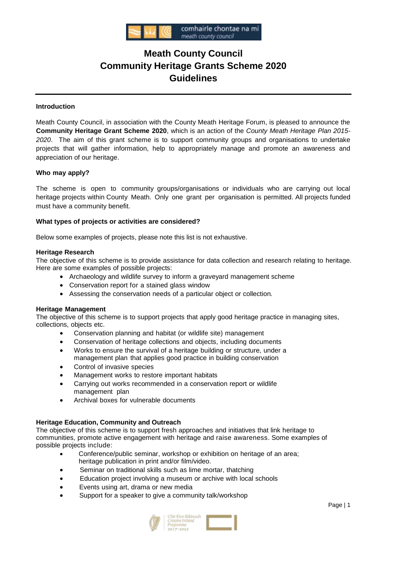

# **Meath County Council Community Heritage Grants Scheme 2020 Guidelines**

# **Introduction**

Meath County Council, in association with the County Meath Heritage Forum, is pleased to announce the **Community Heritage Grant Scheme 2020**, which is an action of the *County Meath Heritage Plan 2015- 2020*. The aim of this grant scheme is to support community groups and organisations to undertake projects that will gather information, help to appropriately manage and promote an awareness and appreciation of our heritage.

## **Who may apply?**

The scheme is open to community groups/organisations or individuals who are carrying out local heritage projects within County Meath. Only one grant per organisation is permitted. All projects funded must have a community benefit.

# **What types of projects or activities are considered?**

Below some examples of projects, please note this list is not exhaustive.

## **Heritage Research**

The objective of this scheme is to provide assistance for data collection and research relating to heritage. Here are some examples of possible projects:

- Archaeology and wildlife survey to inform a graveyard management scheme
- Conservation report for a stained glass window
- Assessing the conservation needs of a particular object or collection*.*

## **Heritage Management**

The objective of this scheme is to support projects that apply good heritage practice in managing sites, collections, objects etc.

- Conservation planning and habitat (or wildlife site) management
- Conservation of heritage collections and objects, including documents
- Works to ensure the survival of a heritage building or structure, under a management plan that applies good practice in building conservation
- Control of invasive species
- Management works to restore important habitats
- Carrying out works recommended in a conservation report or wildlife management plan
- Archival boxes for vulnerable documents

## **Heritage Education, Community and Outreach**

The objective of this scheme is to support fresh approaches and initiatives that link heritage to communities, promote active engagement with heritage and raise awareness. Some examples of possible projects include:

- Conference/public seminar, workshop or exhibition on heritage of an area; heritage publication in print and/or film/video.
- Seminar on traditional skills such as lime mortar, thatching
- Education project involving a museum or archive with local schools
- Events using art, drama or new media
- Support for a speaker to give a community talk/workshop

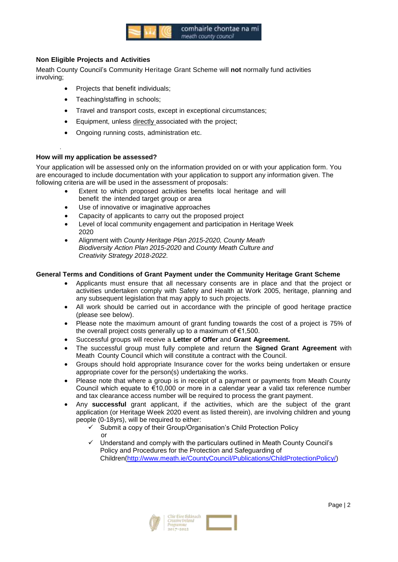

# **Non Eligible Projects and Activities**

Meath County Council's Community Heritage Grant Scheme will **not** normally fund activities involving;

- Projects that benefit individuals;
- Teaching/staffing in schools;
- Travel and transport costs, except in exceptional circumstances;
- Equipment, unless directly associated with the project;
- Ongoing running costs, administration etc.

# **How will my application be assessed?**

.

Your application will be assessed only on the information provided on or with your application form. You are encouraged to include documentation with your application to support any information given. The following criteria are will be used in the assessment of proposals:

- Extent to which proposed activities benefits local heritage and will benefit the intended target group or area
- Use of innovative or imaginative approaches
- Capacity of applicants to carry out the proposed project
- Level of local community engagement and participation in Heritage Week 2020
- Alignment with *County Heritage Plan 2015-2020, County Meath Biodiversity Action Plan 2015-2020* and *County Meath Culture and Creativity Strategy 2018-2022.*

# **General Terms and Conditions of Grant Payment under the Community Heritage Grant Scheme**

- Applicants must ensure that all necessary consents are in place and that the project or activities undertaken comply with Safety and Health at Work 2005, heritage, planning and any subsequent legislation that may apply to such projects.
- All work should be carried out in accordance with the principle of good heritage practice (please see below).
- Please note the maximum amount of grant funding towards the cost of a project is 75% of the overall project costs generally up to a maximum of €1,500.
- Successful groups will receive a **Letter of Offer** and **Grant Agreement.**
- The successful group must fully complete and return the **Signed Grant Agreement** with Meath County Council which will constitute a contract with the Council.
- Groups should hold appropriate Insurance cover for the works being undertaken or ensure appropriate cover for the person(s) undertaking the works.
- Please note that where a group is in receipt of a payment or payments from Meath County Council which equate to €10,000 or more in a calendar year a valid tax reference number and tax clearance access number will be required to process the grant payment.
- Any **successful** grant applicant, if the activities, which are the subject of the grant application (or Heritage Week 2020 event as listed therein), are involving children and young people (0-18yrs), will be required to either:
	- Submit a copy of their Group/Organisation's Child Protection Policy or
	- $\checkmark$  Understand and comply with the particulars outlined in Meath County Council's Policy and Procedures for the Protection and Safeguarding of Children[\(http://www.meath.ie/CountyCouncil/Publications/ChildProtectionPolicy/\)](http://www.meath.ie/CountyCouncil/Publications/ChildProtectionPolicy/)

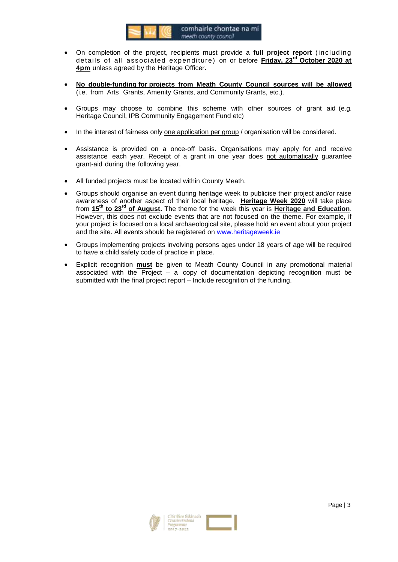

- On completion of the project, recipients must provide a **full project report** (including details of all associated expenditure) on or before **Friday, 23rd October 2020 at 4pm** unless agreed by the Heritage Officer**.**
- **No double-funding for projects from Meath County Council sources will be allowed** (i.e. from Arts Grants, Amenity Grants, and Community Grants, etc.).
- Groups may choose to combine this scheme with other sources of grant aid (e.g. Heritage Council, IPB Community Engagement Fund etc)
- In the interest of fairness only one application per group / organisation will be considered.
- Assistance is provided on a **once-off** basis. Organisations may apply for and receive assistance each year. Receipt of a grant in one year does not automatically guarantee grant-aid during the following year.
- All funded projects must be located within County Meath.
- Groups should organise an event during heritage week to publicise their project and/or raise awareness of another aspect of their local heritage. **Heritage Week 2020** will take place from **15th to 23rd of August.** The theme for the week this year is **Heritage and Education**. However, this does not exclude events that are not focused on the theme. For example, if your project is focused on a local archaeological site, please hold an event about your project and the site. All events should be registered on [www.heritageweek.ie](http://www.heritageweek.ie/)
- Groups implementing projects involving persons ages under 18 years of age will be required to have a child safety code of practice in place.
- Explicit recognition **must** be given to Meath County Council in any promotional material associated with the Project – a copy of documentation depicting recognition must be submitted with the final project report – Include recognition of the funding.